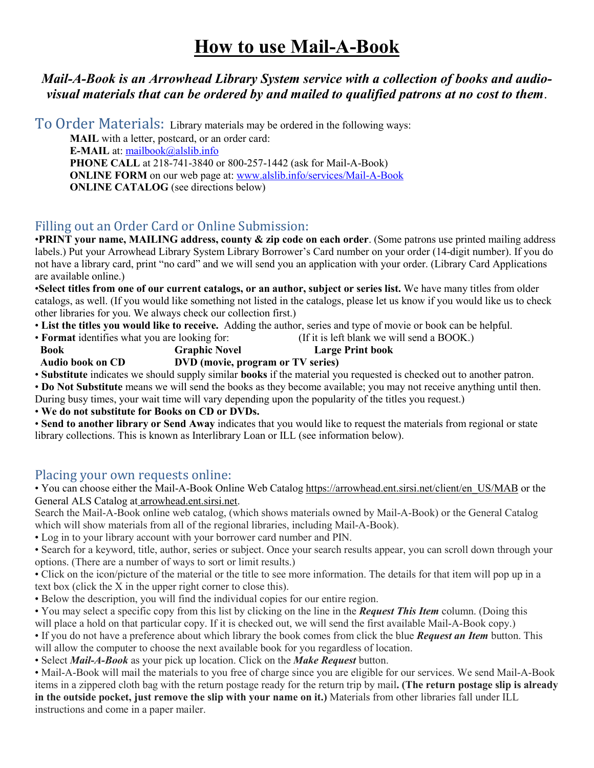### *Mail-A-Book is an Arrowhead Library System service with a collection of books and audiovisual materials that can be ordered by and mailed to qualified patrons at no cost to them*.

To Order Materials:Library materials may be ordered in the following ways:

**MAIL** with a letter, postcard, or an order card: **E-MAIL** at: [mailbook@alslib.info](mailto:mailbook@alslib.info) **PHONE CALL** at 218-741-3840 or 800-257-1442 (ask for Mail-A-Book) **ONLINE FORM** on our web page at: **www.alslib.info/services/Mail-A-Book ONLINE CATALOG** (see directions below)

### Filling out an Order Card or Online Submission:

•**PRINT your name, MAILING address, county & zip code on each order**. (Some patrons use printed mailing address labels.) Put your Arrowhead Library System Library Borrower's Card number on your order (14-digit number). If you do not have a library card, print "no card" and we will send you an application with your order. (Library Card Applications are available online.)

•**Select titles from one of our current catalogs, or an author, subject or series list.** We have many titles from older catalogs, as well. (If you would like something not listed in the catalogs, please let us know if you would like us to check other libraries for you. We always check our collection first.)

- **List the titles you would like to receive.** Adding the author, series and type of movie or book can be helpful.
- **Format** identifies what you are looking for: (If it is left blank we will send a BOOK.)  **Book Graphic Novel Large Print book Audio book on CD DVD (movie, program or TV series)**

• **Substitute** indicates we should supply similar **books** if the material you requested is checked out to another patron.

• **Do Not Substitute** means we will send the books as they become available; you may not receive anything until then.

During busy times, your wait time will vary depending upon the popularity of the titles you request.)

• **We do not substitute for Books on CD or DVDs.**

• **Send to another library or Send Away** indicates that you would like to request the materials from regional or state library collections. This is known as Interlibrary Loan or ILL (see information below).

#### Placing your own requests online:

• You can choose either the Mail-A-Book Online Web Catalog https://arrowhead.ent.sirsi.net/client/en\_US/MAB or the General ALS Catalog at arrowhead.ent.sirsi.net.

Search the Mail-A-Book online web catalog, (which shows materials owned by Mail-A-Book) or the General Catalog which will show materials from all of the regional libraries, including Mail-A-Book).

• Log in to your library account with your borrower card number and PIN.

• Search for a keyword, title, author, series or subject. Once your search results appear, you can scroll down through your options. (There are a number of ways to sort or limit results.)

• Click on the icon/picture of the material or the title to see more information. The details for that item will pop up in a text box (click the X in the upper right corner to close this).

• Below the description, you will find the individual copies for our entire region.

• You may select a specific copy from this list by clicking on the line in the *Request This Item* column. (Doing this

will place a hold on that particular copy. If it is checked out, we will send the first available Mail-A-Book copy.)

• If you do not have a preference about which library the book comes from click the blue *Request an Item* button. This will allow the computer to choose the next available book for you regardless of location.

• Select *Mail-A-Book* as your pick up location. Click on the *Make Request* button.

• Mail-A-Book will mail the materials to you free of charge since you are eligible for our services. We send Mail-A-Book items in a zippered cloth bag with the return postage ready for the return trip by mail**. (The return postage slip is already in the outside pocket, just remove the slip with your name on it.)** Materials from other libraries fall under ILL instructions and come in a paper mailer.